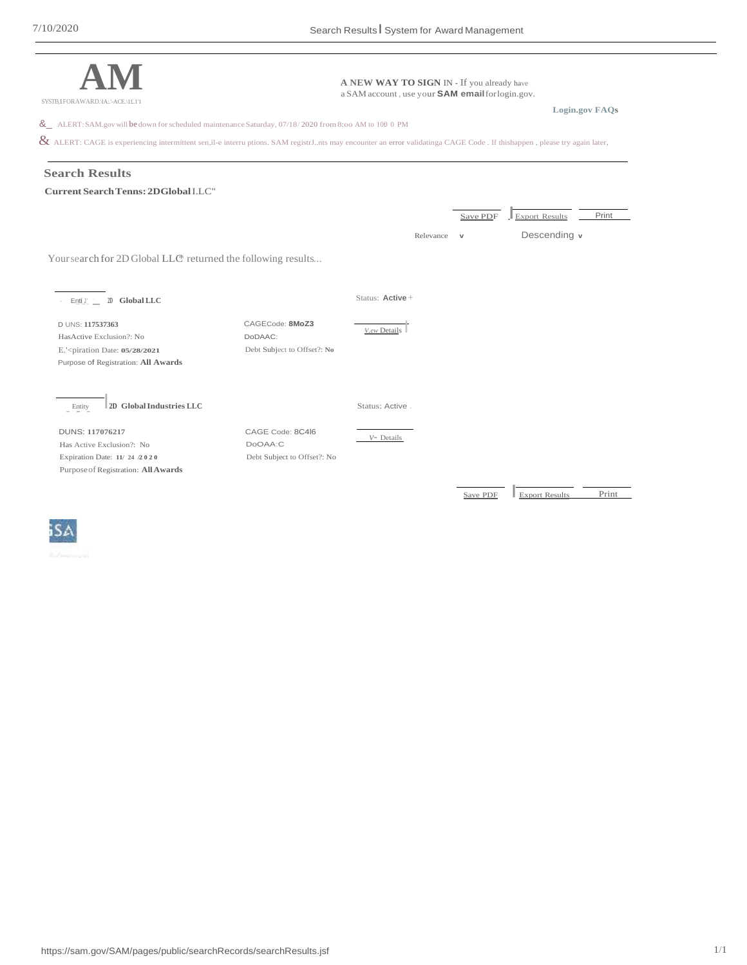



https://sam.gov/SAM/pages/public/searchRecords/searchResults.jsf 1/1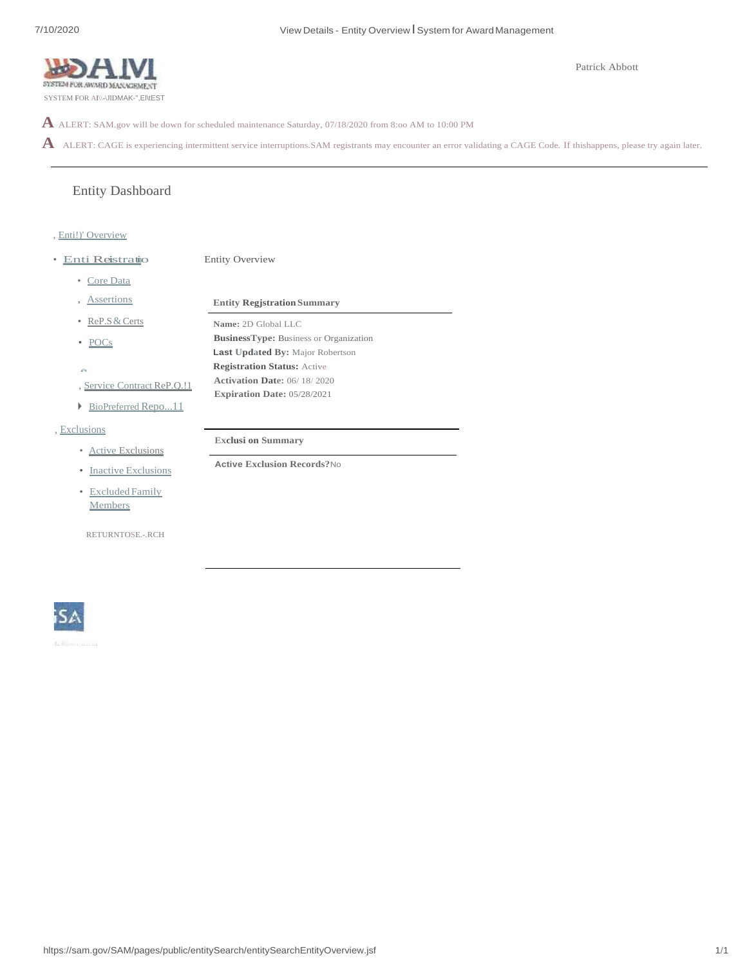

**A** ALERT: SAM.gov will be down for scheduled maintenance Saturday, 07/18/2020 from 8:oo AM to 10:00 PM

Entity Overview

A ALERT: CAGE is experiencing intermittent service interruptions.SAM registrants may encounter an error validating a CAGE Code. If thishappens, please try again later.

# Entity Dashboard

#### , Enti!)' Overview

- Enti Reistratio
	- Core Data
	-
	- ReP.S&Certs
	- POCs
	- À.
	- , Service Contract ReP.Q.!1
	- ► BioPreferred Repo...11
- , Exclusions
	- Active Exclusions
	- Inactive Exclusions
	- Excluded Family Members

RETURNTOSE.-.RCH

, Assertions **Entity Regjstration Summary Name:** 2D Global LLC **BusinessType:** Business or Organization **Last Updated By:** Major Robertson **Registration Status:** Active **Activation Date:** 06/ 18/ 2020 **Expiration Date:** 05/28/2021

**Exclusi on Summary**

**Active Exclusion Records?**No

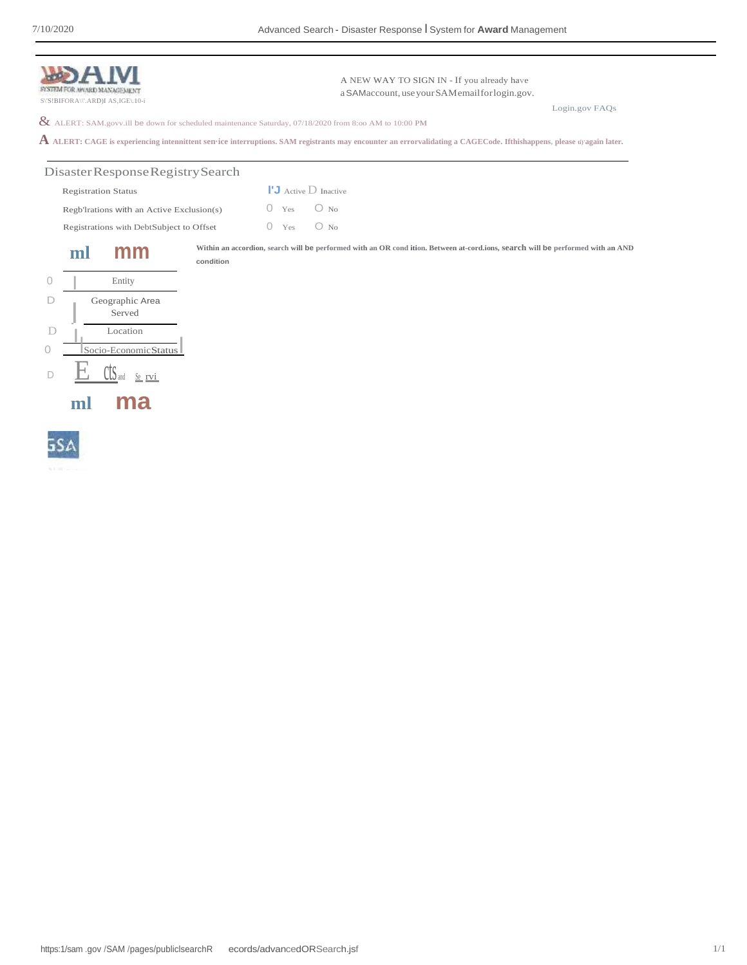|                                          | SYSTEM FOR AWARD MANAGEMENT<br>S\'S!BIFORA\\'.ARD)I AS,IGE\.10-i |                                           |           |                 | A NEW WAY TO SIGN IN - If you already have<br>a SAMaccount, use your SAM email for login.gov.                                                                                 |                |
|------------------------------------------|------------------------------------------------------------------|-------------------------------------------|-----------|-----------------|-------------------------------------------------------------------------------------------------------------------------------------------------------------------------------|----------------|
|                                          |                                                                  |                                           |           |                 | $\&$ ALERT: SAM.govv.ill be down for scheduled maintenance Saturday, 07/18/2020 from 8:00 AM to 10:00 PM                                                                      | Login.gov FAQs |
|                                          |                                                                  |                                           |           |                 | ${\bf A}$ ALERT: CAGE is experiencing intennittent sen•ice interruptions. SAM registrants may encounter an errorvalidating a CAGECode. Ifthishappens, please ti) again later. |                |
|                                          |                                                                  | Disaster Response Registry Search         |           |                 |                                                                                                                                                                               |                |
|                                          | <b>Registration Status</b>                                       |                                           |           |                 | $\mathsf{I}^{\mathsf{I}}$ <b>J</b> Active $\mathsf{D}$ Inactive                                                                                                               |                |
|                                          |                                                                  | Regb'Irations with an Active Exclusion(s) |           | Yes             | $\bigcirc$ No                                                                                                                                                                 |                |
| Registrations with DebtSubject to Offset |                                                                  |                                           |           | $\Omega$<br>Yes | $O$ No                                                                                                                                                                        |                |
|                                          | ml                                                               | mm                                        | condition |                 | Within an accordion, search will be performed with an OR condition. Between at-cord.ions, search will be performed with an AND                                                |                |
| 0                                        |                                                                  | Entity                                    |           |                 |                                                                                                                                                                               |                |
|                                          |                                                                  | Geographic Area<br>Served                 |           |                 |                                                                                                                                                                               |                |
| D                                        |                                                                  | Location                                  |           |                 |                                                                                                                                                                               |                |
|                                          |                                                                  | Socio-EconomicStatus                      |           |                 |                                                                                                                                                                               |                |
|                                          |                                                                  | Se rvi                                    |           |                 |                                                                                                                                                                               |                |
|                                          |                                                                  |                                           |           |                 |                                                                                                                                                                               |                |

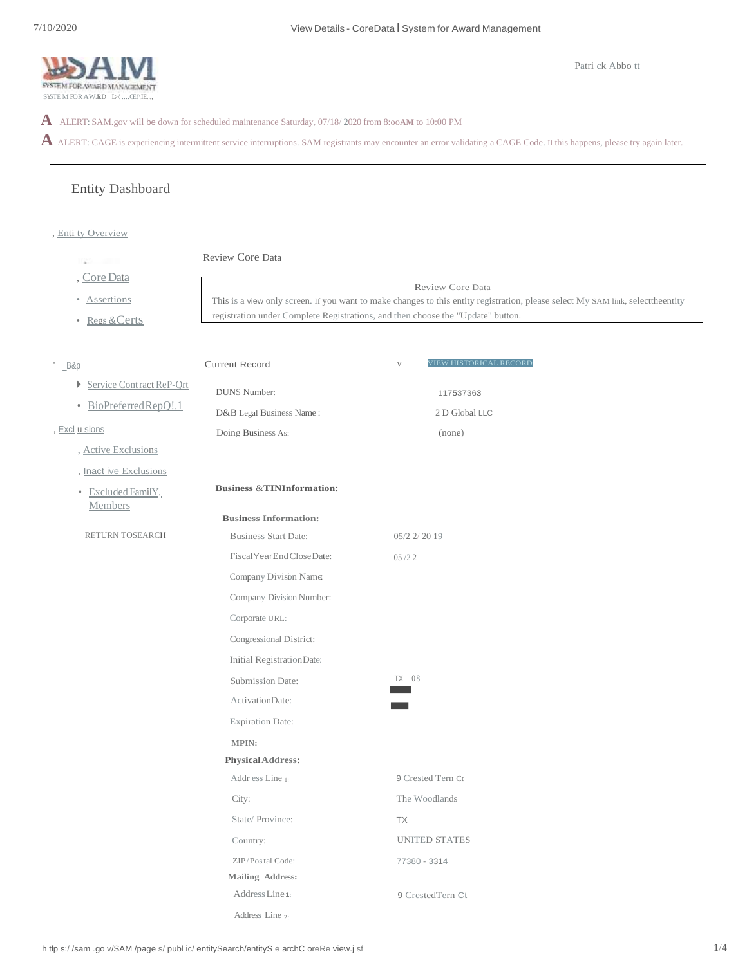

**A** ALERT: SAM.gov will be down for scheduled maintenance Saturday, 07/18/ 2020 from 8:oo**AM** to 10:00 PM

A ALERT: CAGE is experiencing intermittent service interruptions. SAM registrants may encounter an error validating a CAGE Code. If this happens, please try again later.

# Entity Dashboard

, Enti ty Overview

```
Review Core Data
       œ
     , Core Data
                                                                                           Review Core Data
      • Assertions
                                       This is a view only screen. If you want to make changes to this entity registration, please select My SAM link, selecttheentity 
                                       registration under Complete Registrations, and then choose the "Update" button.
     • Regs &Certs
                                                                                              V VIEW HISTORICAL RECORD
                                      Current Record
' _B&p
     ► Service Contract ReP-Qrt
                                         DUNS Number:
                                                                                                 117537363
      • BioPreferredRepQ!.1
                                        D&B Legal Business Name : 
                                                                                                2 D Global LLC
, Excl u sions
                                         Doing Business As:
                                                                                                 (none)
      , Active Exclusions
      , Inact ive Exclusions
                                         Business &TINInformation:
      • Excluded FamilY.
        Members
                                          Business Information:
       RETURN TOSEARCH
                                                                                     05/2 2/ 20 19
                                            Business Start Date:
                                            FiscalYearEndCloseDate: 
                                                                                     05 /2 2
                                            Company Division Name:
                                            Company Division Number: 
                                            Corporate URL: 
                                            Congressional District: 
                                             Initial Registration Date:<br>
Submission Date:<br>
Activation Date:<br>
Expiration Date:
                                            Initial RegistrationDate:
                                                                                     TX 08
                                            Submission Date: 
                                            ActivationDate:
                                            MPIN:
                                           PhysicalAddress:
                                            Addr ess Line 1:
                                                                                      9 Crested Tern Ct 
                                            City:
                                                                                      The Woodlands 
                                            State/ Province: 
                                                                                      TX
                                                                                      UNITED STATES
                                             Country:
                                             ZIP/Postal Code: 
                                                                                      77380 - 3314
                                            Mailing Address: 
                                             AddressLine 1:
                                                                                      9 CrestedTern CtAddress Line 2:
```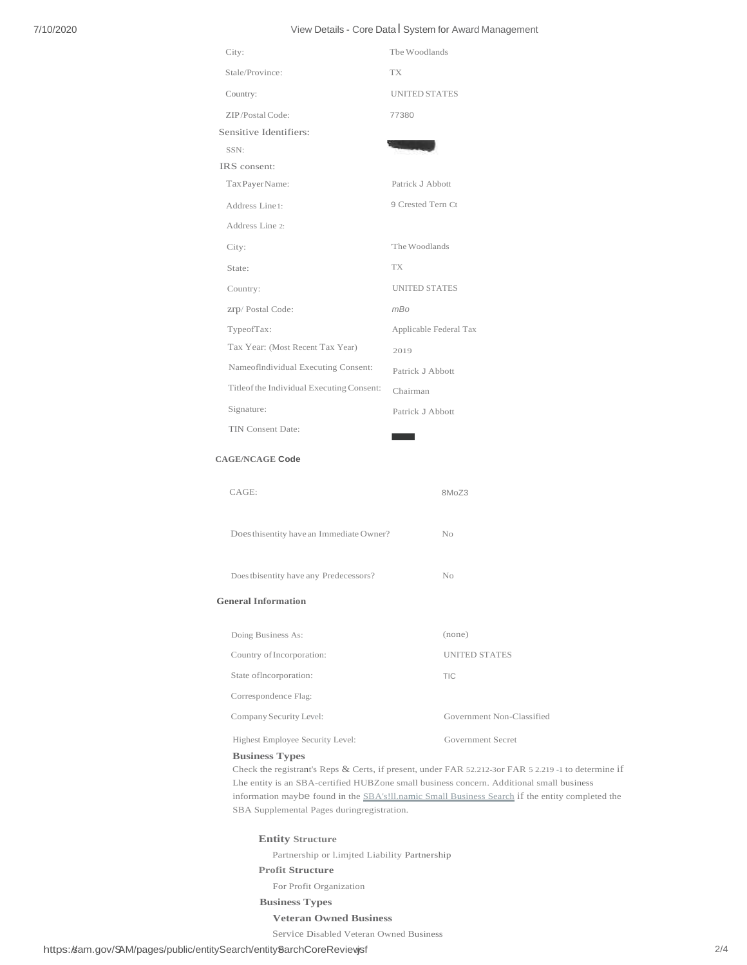# 7/10/2020 View Details - Core DataI System for Award Management

| City:                                     | The Woodlands          |
|-------------------------------------------|------------------------|
| Stale/Province:                           | <b>TX</b>              |
| Country:                                  | <b>UNITED STATES</b>   |
| ZIP/Postal Code:                          | 77380                  |
| Sensitive Identifiers:                    |                        |
| SSN:                                      |                        |
| IRS consent:                              |                        |
| Tax Payer Name:                           | Patrick J Abbott       |
| Address Line1:                            | 9 Crested Tern Ct      |
| Address Line 2:                           |                        |
| City:                                     | The Woodlands          |
| State:                                    | TX                     |
| Country:                                  | <b>UNITED STATES</b>   |
| Zrp/Postal Code:                          | mBo                    |
| TypeofTax:                                | Applicable Federal Tax |
| Tax Year: (Most Recent Tax Year)          | 2019                   |
| NameofIndividual Executing Consent:       | Patrick J Abbott       |
| Titleof the Individual Executing Consent: | Chairman               |
| Signature:                                | Patrick J Abbott       |
| <b>TIN Consent Date:</b>                  |                        |
| <b>CAGE/NCAGE Code</b>                    |                        |

#### **CAGE/NCAGE Code**

| CAGE:                                     | 8MoZ3                     |
|-------------------------------------------|---------------------------|
| Does this entity have an Immediate Owner? | No                        |
| Does this entity have any Predecessors?   | No                        |
| <b>General Information</b>                |                           |
| Doing Business As:                        | (none)                    |
| Country of Incorporation:                 | <b>UNITED STATES</b>      |
| State of Incorporation:                   | <b>TIC</b>                |
| Correspondence Flag:                      |                           |
| Company Security Level:                   | Government Non-Classified |
|                                           |                           |

#### Highest Employee Security Level: Government Secret

#### **Business Types**

Check the registrant's Reps & Certs, if present, under FAR 52.212-3or FAR 5 2.219 -1 to determine if Lhe entity is an SBA-certified HUBZone small business concern. Additional small business information maybe found in the SBA's!ll.namic Small Business Search if the entity completed the SBA Supplemental Pages duringregistration.

#### **Entity Structure**

Partnership or l.imjted Liability Partnership

## **Profit Structure**

For Profit Organization

**Business Types**

#### **Veteran Owned Business**

Service Disabled Veteran Owned Business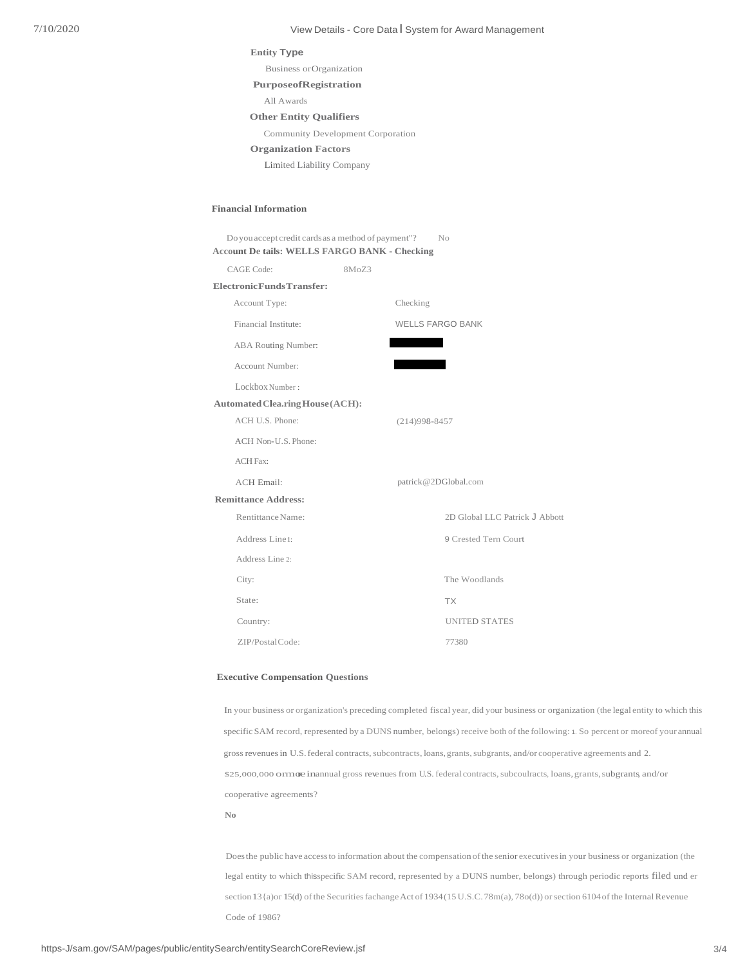#### 7/10/2020 View Details - Core Data I System for Award Management

## **Entity Type**

Business orOrganization

#### **PurposeofRegistration**

All Awards

#### **Other Entity Qualifiers**

Community Development Corporation

#### **Organization Factors**

Limited Liability Company

#### **Financial Information**

| Do you accept credit cards as a method of payment"?  |       | N <sub>o</sub>                 |  |
|------------------------------------------------------|-------|--------------------------------|--|
| <b>Account De tails: WELLS FARGO BANK - Checking</b> |       |                                |  |
| CAGE Code:                                           | 8MoZ3 |                                |  |
| Electronic Funds Transfer:                           |       |                                |  |
| Account Type:                                        |       | Checking                       |  |
| Financial Institute:                                 |       | <b>WELLS FARGO BANK</b>        |  |
| ABA Routing Number:                                  |       |                                |  |
| Account Number:                                      |       |                                |  |
| Lockbox Number:                                      |       |                                |  |
| <b>Automated Clea.ring House (ACH):</b>              |       |                                |  |
| ACH U.S. Phone:                                      |       | $(214)998 - 8457$              |  |
| ACH Non-U.S. Phone:                                  |       |                                |  |
| <b>ACH Fax:</b>                                      |       |                                |  |
| <b>ACH Email:</b>                                    |       | patrick@2DGlobal.com           |  |
| <b>Remittance Address:</b>                           |       |                                |  |
| Rentittance Name:                                    |       | 2D Global LLC Patrick J Abbott |  |
| Address Line1:                                       |       | 9 Crested Tern Court           |  |
| Address Line 2:                                      |       |                                |  |
| City:                                                |       | The Woodlands                  |  |
| State:                                               |       | <b>TX</b>                      |  |
| Country:                                             |       | <b>UNITED STATES</b>           |  |
| ZIP/PostalCode:                                      |       | 77380                          |  |

#### **Executive Compensation Questions**

In your business or organization's preceding completed fiscal year, did your business or organization (the legal entity to which this specific SAM record, represented by a DUNS number, belongs) receive both of the following: 1. So percent or moreof your annual gross revenues in U.S. federal contracts, subcontracts, loans, grants, subgrants, and/or cooperative agreements and 2. \$25,000,000 ormore inannual gross revenues from U.S. federal contracts, subcoulracts, loans, grants, subgrants, and/or cooperative agreements? **No**

Doesthe public have accessto information about the compensation ofthe senior executivesin your business or organization (the legal entity to which thisspecific SAM record, represented by a DUNS number, belongs) through periodic reports filed und er section 13{a)or 15(d) of the Securities fachange Act of 1934(15 U.S.C. 78m(a), 78o(d)) or section 6104 of the Internal Revenue Code of 1986?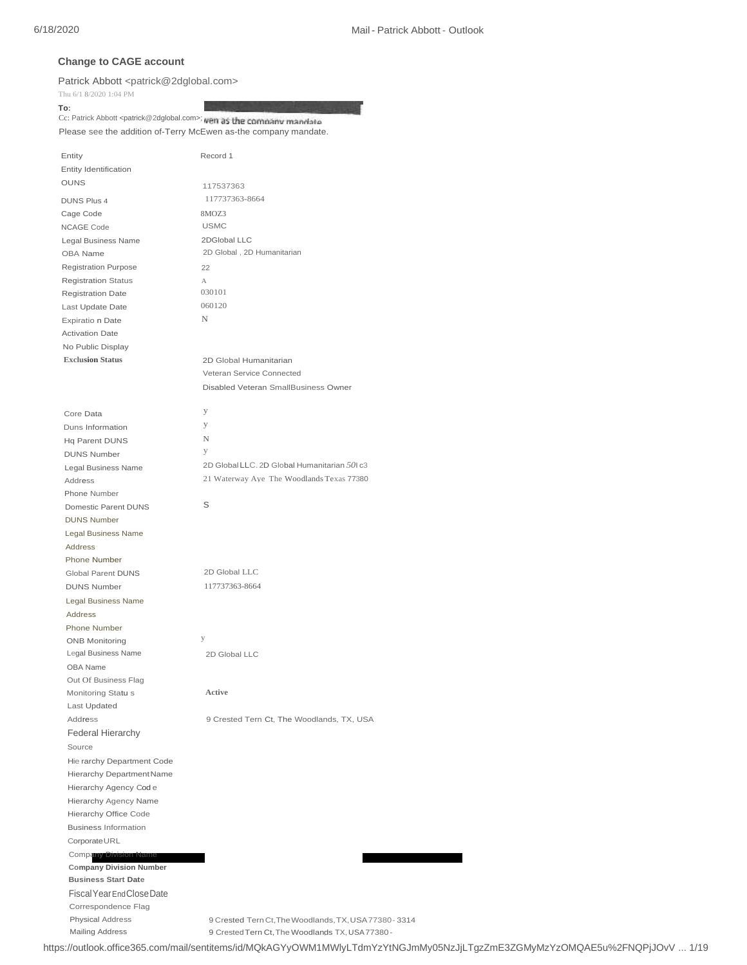# **Change to CAGE account**

Patrick Abbott [<patrick@2dglobal.com>](mailto:patrick@2dglobal.com)

Thu 6/1 8/2020 1:04 PM

**To:** Cc: Patrick Abbot[t <patrick@2dglobal.com>;](mailto:patrick@2dglobal.com) wen as the company mandate

Please see the addition of-Terry McEwen as-the company mandate.

| Entity                                            | Record 1                                                                                                   |
|---------------------------------------------------|------------------------------------------------------------------------------------------------------------|
| Entity Identification                             |                                                                                                            |
| <b>OUNS</b>                                       | 117537363                                                                                                  |
| <b>DUNS Plus 4</b>                                | 117737363-8664                                                                                             |
| Cage Code                                         | 8MOZ3                                                                                                      |
| NCAGE Code                                        | <b>USMC</b>                                                                                                |
| Legal Business Name                               | 2DGlobal LLC                                                                                               |
| OBA Name                                          | 2D Global, 2D Humanitarian                                                                                 |
| <b>Registration Purpose</b>                       | 22                                                                                                         |
| <b>Registration Status</b>                        | А                                                                                                          |
| <b>Registration Date</b>                          | 030101                                                                                                     |
| Last Update Date                                  | 060120                                                                                                     |
| Expiratio n Date                                  | N                                                                                                          |
| <b>Activation Date</b>                            |                                                                                                            |
| No Public Display                                 |                                                                                                            |
| <b>Exclusion Status</b>                           | 2D Global Humanitarian                                                                                     |
|                                                   | Veteran Service Connected                                                                                  |
|                                                   | Disabled Veteran SmallBusiness Owner                                                                       |
|                                                   |                                                                                                            |
| Core Data                                         | у                                                                                                          |
| Duns Information                                  | У                                                                                                          |
| Hq Parent DUNS                                    | N                                                                                                          |
| <b>DUNS Number</b>                                | y                                                                                                          |
| Legal Business Name                               | 2D Global LLC. 2D Global Humanitarian 501 c3                                                               |
| Address                                           | 21 Waterway Aye The Woodlands Texas 77380                                                                  |
| Phone Number                                      | S                                                                                                          |
| Domestic Parent DUNS                              |                                                                                                            |
| <b>DUNS Number</b>                                |                                                                                                            |
| Legal Business Name                               |                                                                                                            |
| <b>Address</b>                                    |                                                                                                            |
| Phone Number<br>Global Parent DUNS                | 2D Global LLC                                                                                              |
| <b>DUNS Number</b>                                | 117737363-8664                                                                                             |
|                                                   |                                                                                                            |
| Legal Business Name<br><b>Address</b>             |                                                                                                            |
| Phone Number                                      |                                                                                                            |
| <b>ONB Monitoring</b>                             | у                                                                                                          |
| Legal Business Name                               | 2D Global LLC                                                                                              |
| OBA Name                                          |                                                                                                            |
| Out Of Business Flag                              |                                                                                                            |
| Monitoring Statu s                                | Active                                                                                                     |
| Last Updated                                      |                                                                                                            |
| Address                                           | 9 Crested Tern Ct, The Woodlands, TX, USA                                                                  |
| <b>Federal Hierarchy</b>                          |                                                                                                            |
| Source                                            |                                                                                                            |
| Hie rarchy Department Code                        |                                                                                                            |
| Hierarchy Department Name                         |                                                                                                            |
| Hierarchy Agency Code                             |                                                                                                            |
| Hierarchy Agency Name                             |                                                                                                            |
| Hierarchy Office Code                             |                                                                                                            |
| <b>Business Information</b>                       |                                                                                                            |
| CorporateURL                                      |                                                                                                            |
| <b>Company Division Name</b>                      |                                                                                                            |
| <b>Company Division Number</b>                    |                                                                                                            |
| <b>Business Start Date</b>                        |                                                                                                            |
| Fiscal Year End Close Date                        |                                                                                                            |
| Correspondence Flag                               |                                                                                                            |
| <b>Physical Address</b><br><b>Mailing Address</b> | 9 Crested Tern Ct, The Woodlands, TX, USA 77380 - 3314<br>9 Crested Tern Ct, The Woodlands TX, USA 77380 - |
|                                                   |                                                                                                            |

https://outlook.office365.com/mail/sentitems/id/MQkAGYyOWM1MWlyLTdmYzYtNGJmMy05NzJjLTgzZmE3ZGMyMzYzOMQAE5u%2FNQPjJOvV ... 1/19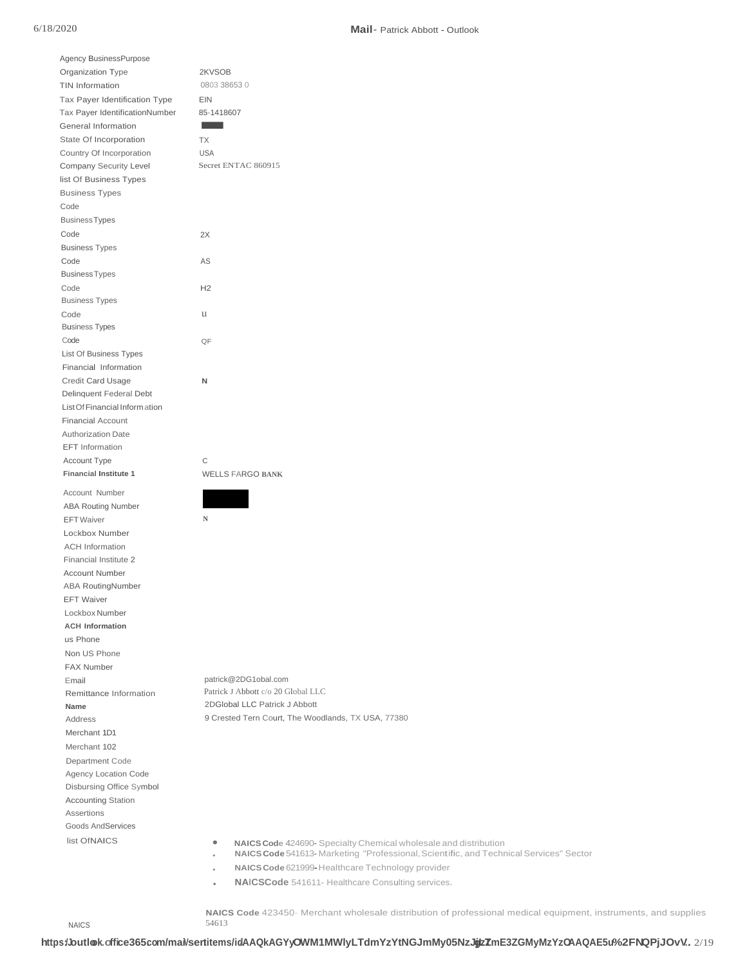#### 6/18/2020 **Mail**- Patrick Abbott - Outlook

| Agency BusinessPurpose         |                                                                                       |
|--------------------------------|---------------------------------------------------------------------------------------|
| Organization Type              | 2KVSOB                                                                                |
| TIN Information                | 0803 38653 0                                                                          |
| Tax Payer Identification Type  | EIN                                                                                   |
| Tax Payer IdentificationNumber | 85-1418607                                                                            |
| General Information            |                                                                                       |
| State Of Incorporation         | TX                                                                                    |
| Country Of Incorporation       | <b>USA</b>                                                                            |
| Company Security Level         | Secret ENTAC 860915                                                                   |
| list Of Business Types         |                                                                                       |
| <b>Business Types</b>          |                                                                                       |
| Code                           |                                                                                       |
| <b>Business Types</b>          |                                                                                       |
| Code                           | 2X                                                                                    |
| <b>Business Types</b>          |                                                                                       |
| Code                           | AS                                                                                    |
| <b>Business Types</b>          |                                                                                       |
| Code                           | H <sub>2</sub>                                                                        |
| <b>Business Types</b>          |                                                                                       |
|                                |                                                                                       |
| Code                           | u                                                                                     |
| <b>Business Types</b>          |                                                                                       |
| Code                           | QF                                                                                    |
| List Of Business Types         |                                                                                       |
| Financial Information          |                                                                                       |
| <b>Credit Card Usage</b>       | N                                                                                     |
| Delinquent Federal Debt        |                                                                                       |
| List Of Financial Inform ation |                                                                                       |
| <b>Financial Account</b>       |                                                                                       |
| <b>Authorization Date</b>      |                                                                                       |
| EFT Information                |                                                                                       |
| Account Type                   | С                                                                                     |
| <b>Financial Institute 1</b>   | <b>WELLS FARGO BANK</b>                                                               |
| Account Number                 |                                                                                       |
| <b>ABA Routing Number</b>      |                                                                                       |
| <b>EFT</b> Waiver              | N                                                                                     |
| Lockbox Number                 |                                                                                       |
| <b>ACH Information</b>         |                                                                                       |
| Financial Institute 2          |                                                                                       |
| <b>Account Number</b>          |                                                                                       |
| <b>ABA RoutingNumber</b>       |                                                                                       |
|                                |                                                                                       |
| <b>EFT Waiver</b>              |                                                                                       |
| Lockbox Number                 |                                                                                       |
| <b>ACH Information</b>         |                                                                                       |
| us Phone                       |                                                                                       |
| Non US Phone                   |                                                                                       |
| <b>FAX Number</b>              |                                                                                       |
| Email                          | patrick@2DG1obal.com                                                                  |
| Remittance Information         | Patrick J Abbott c/o 20 Global LLC                                                    |
| Name                           | 2DGlobal LLC Patrick J Abbott                                                         |
| Address                        | 9 Crested Tern Court, The Woodlands, TX USA, 77380                                    |
| Merchant 1D1                   |                                                                                       |
| Merchant 102                   |                                                                                       |
| Department Code                |                                                                                       |
| Agency Location Code           |                                                                                       |
| Disbursing Office Symbol       |                                                                                       |
| <b>Accounting Station</b>      |                                                                                       |
| Assertions                     |                                                                                       |
| Goods AndServices              |                                                                                       |
| list OfNAICS                   | ۰<br><b>NAICS Code 424690-</b> Specialty Chemical wholesale and distribution          |
|                                | NAICS Code 541613-Marketing "Professional, Scientific, and Technical Services" Sector |
|                                | NAICS Code 621999 Healthcare Technology provider                                      |

• **NAICS Code** 621999-Healthcare Technology provider

• **NAICSCode** 541611- Healthcare Consulting services.

**NAICS Code** 423450- Merchant wholesale distribution of professional medical equipment, instruments, and supplies 54613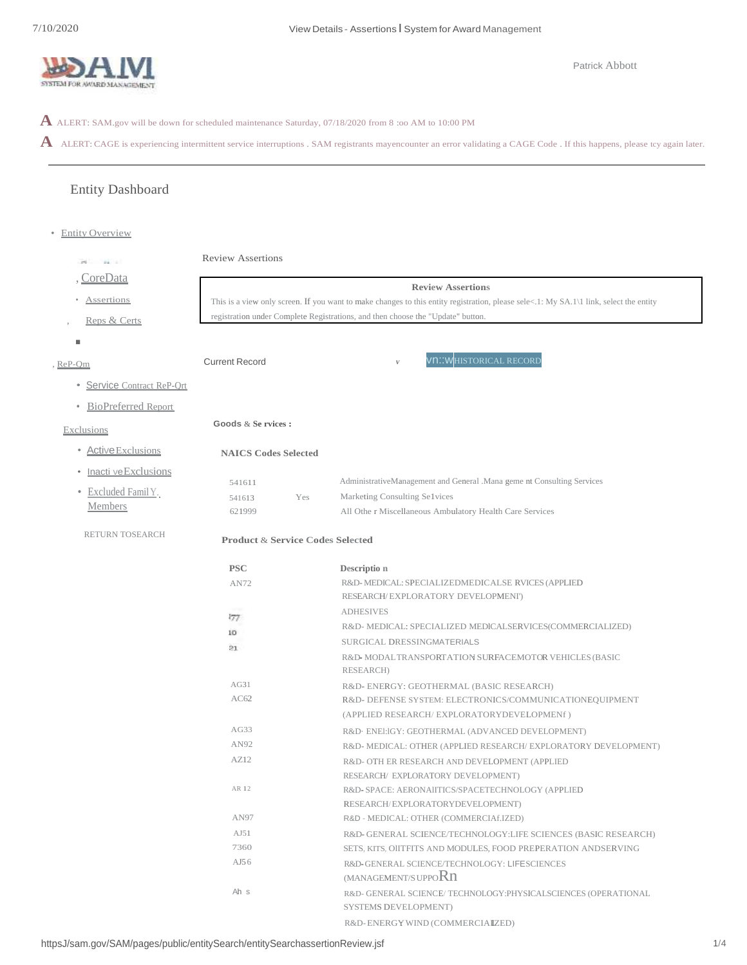

**A** ALERT: SAM.gov will be down for scheduled maintenance Saturday, 07/18/2020 from 8 :oo AM to 10:00 PM

A ALERT: CAGE is experiencing intermittent service interruptions . SAM registrants mayencounter an error validating a CAGE Code . If this happens, please tcy again later.

# Entity Dashboard

• Entity Overview

| 24.11                                                                                                          | <b>Review Assertions</b><br><b>Review Assertions</b> |                                                                                                                                        |                                                                                         |  |  |  |
|----------------------------------------------------------------------------------------------------------------|------------------------------------------------------|----------------------------------------------------------------------------------------------------------------------------------------|-----------------------------------------------------------------------------------------|--|--|--|
|                                                                                                                |                                                      |                                                                                                                                        |                                                                                         |  |  |  |
| <b>Assertions</b>                                                                                              |                                                      | This is a view only screen. If you want to make changes to this entity registration, please sele<.1: My SA.1\1 link, select the entity |                                                                                         |  |  |  |
| Reps & Certs                                                                                                   |                                                      |                                                                                                                                        | registration under Complete Registrations, and then choose the "Update" button.         |  |  |  |
| п                                                                                                              |                                                      |                                                                                                                                        |                                                                                         |  |  |  |
|                                                                                                                | <b>Current Record</b>                                |                                                                                                                                        | Vn::WHISTORICAL RECORD<br>$\boldsymbol{V}$                                              |  |  |  |
|                                                                                                                |                                                      |                                                                                                                                        |                                                                                         |  |  |  |
| • Service Contract ReP-Ort                                                                                     |                                                      |                                                                                                                                        |                                                                                         |  |  |  |
| <b>BioPreferred Report</b>                                                                                     |                                                      |                                                                                                                                        |                                                                                         |  |  |  |
| <b>Exclusions</b>                                                                                              | Goods & Se rvices :                                  |                                                                                                                                        |                                                                                         |  |  |  |
| ReP-Om<br>• Active Exclusions<br>Inacti veExclusions<br>Excluded Famil Y.<br><b>Members</b><br>RETURN TOSEARCH | <b>NAICS Codes Selected</b>                          |                                                                                                                                        |                                                                                         |  |  |  |
|                                                                                                                |                                                      |                                                                                                                                        |                                                                                         |  |  |  |
|                                                                                                                | 541611                                               |                                                                                                                                        | AdministrativeManagement and General .Mana geme nt Consulting Services                  |  |  |  |
|                                                                                                                | 541613                                               | Yes                                                                                                                                    | Marketing Consulting Selvices                                                           |  |  |  |
|                                                                                                                | 621999                                               |                                                                                                                                        | All Othe r Miscellaneous Ambulatory Health Care Services                                |  |  |  |
| CoreData                                                                                                       |                                                      | <b>Product &amp; Service Codes Selected</b>                                                                                            |                                                                                         |  |  |  |
|                                                                                                                | <b>PSC</b>                                           |                                                                                                                                        | Description                                                                             |  |  |  |
|                                                                                                                | AN72                                                 |                                                                                                                                        | R&D-MEDICAL: SPECIALIZEDMEDICALSE RVICES (APPLIED                                       |  |  |  |
|                                                                                                                |                                                      |                                                                                                                                        | RESEARCH/EXPLORATORY DEVELOPMENI')                                                      |  |  |  |
|                                                                                                                | 377                                                  |                                                                                                                                        | <b>ADHESIVES</b>                                                                        |  |  |  |
|                                                                                                                | 10                                                   |                                                                                                                                        | R&D- MEDICAL: SPECIALIZED MEDICALSERVICES(COMMERCIALIZED)                               |  |  |  |
|                                                                                                                | 21                                                   |                                                                                                                                        | SURGICAL DRESSINGMATERIALS                                                              |  |  |  |
|                                                                                                                |                                                      |                                                                                                                                        | R&D-MODALTRANSPORTATION SURFACEMOTOR VEHICLES (BASIC<br>RESEARCH)                       |  |  |  |
|                                                                                                                | AG31                                                 |                                                                                                                                        | R&D-ENERGY: GEOTHERMAL (BASIC RESEARCH)                                                 |  |  |  |
|                                                                                                                | AC62                                                 |                                                                                                                                        | R&D-DEFENSE SYSTEM: ELECTRONICS/COMMUNICATIONEQUIPMENT                                  |  |  |  |
|                                                                                                                |                                                      |                                                                                                                                        | (APPLIED RESEARCH/EXPLORATORYDEVELOPMENf)                                               |  |  |  |
|                                                                                                                | AG33                                                 |                                                                                                                                        | R&D. ENEI:IGY: GEOTHERMAL (ADVANCED DEVELOPMENT)                                        |  |  |  |
|                                                                                                                | AN92                                                 |                                                                                                                                        | R&D-MEDICAL: OTHER (APPLIED RESEARCH/EXPLORATORY DEVELOPMENT)                           |  |  |  |
|                                                                                                                | AZ12                                                 |                                                                                                                                        | R&D- OTH ER RESEARCH AND DEVELOPMENT (APPLIED                                           |  |  |  |
|                                                                                                                |                                                      |                                                                                                                                        | RESEARCH/ EXPLORATORY DEVELOPMENT)                                                      |  |  |  |
|                                                                                                                | AR 12                                                |                                                                                                                                        | R&D-SPACE: AERONAIITICS/SPACETECHNOLOGY (APPLIED                                        |  |  |  |
|                                                                                                                |                                                      |                                                                                                                                        | RESEARCH/EXPLORATORYDEVELOPMENT)                                                        |  |  |  |
|                                                                                                                | AN97                                                 |                                                                                                                                        | R&D - MEDICAL: OTHER (COMMERCIAf.IZED)                                                  |  |  |  |
|                                                                                                                | AJ51                                                 |                                                                                                                                        | R&D-GENERAL SCIENCE/TECHNOLOGY:LIFE SCIENCES (BASIC RESEARCH)                           |  |  |  |
|                                                                                                                | 7360                                                 |                                                                                                                                        | SETS, KITS, OIITFITS AND MODULES, FOOD PREPERATION ANDSERVING                           |  |  |  |
|                                                                                                                | AJ56                                                 |                                                                                                                                        | R&D-GENERAL SCIENCE/TECHNOLOGY: LIFESCIENCES<br>(MANAGEMENT/S UPPORn                    |  |  |  |
|                                                                                                                |                                                      |                                                                                                                                        |                                                                                         |  |  |  |
|                                                                                                                | Ah s                                                 |                                                                                                                                        | R&D- GENERAL SCIENCE/ TECHNOLOGY: PHYSICALSCIENCES (OPERATIONAL<br>SYSTEMS DEVELOPMENT) |  |  |  |
|                                                                                                                |                                                      |                                                                                                                                        | R&D-ENERGY WIND (COMMERCIAIZED)                                                         |  |  |  |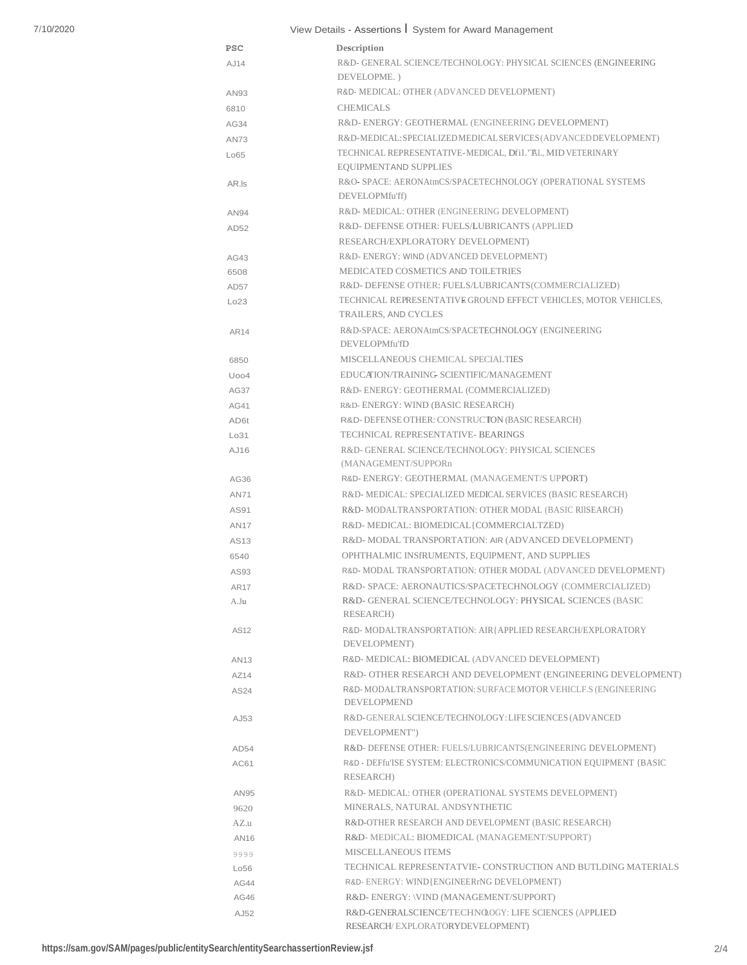# View Details - Assertions I System for Award Management

|                  | view Details - Assertions i System for Award Management                                                                        |
|------------------|--------------------------------------------------------------------------------------------------------------------------------|
| <b>PSC</b>       | Description                                                                                                                    |
| AJ14             | R&D- GENERAL SCIENCE/TECHNOLOGY: PHYSICAL SCIENCES (ENGINEERING<br>DEVELOPME.)                                                 |
| AN93             | R&D- MEDICAL: OTHER (ADVANCED DEVELOPMENT)                                                                                     |
| 6810             | <b>CHEMICALS</b>                                                                                                               |
| AG34             | R&D-ENERGY: GEOTHERMAL (ENGINEERING DEVELOPMENT)                                                                               |
| <b>AN73</b>      | R&D-MEDICAL: SPECIALIZED MEDICAL SERVICES (ADVANCED DEVELOPMENT)                                                               |
|                  | TECHNICAL REPRESENTATIVE-MEDICAL, Dfi1."AL, MID VETERINARY                                                                     |
| Lo65             | <b>EOUIPMENTAND SUPPLIES</b>                                                                                                   |
| AR.Is            | R&O- SPACE: AERONAtmCS/SPACETECHNOLOGY (OPERATIONAL SYSTEMS<br>DEVELOPMfu'ff)                                                  |
| AN94             | R&D- MEDICAL: OTHER (ENGINEERING DEVELOPMENT)                                                                                  |
| AD52             | R&D-DEFENSE OTHER: FUELS/LUBRICANTS (APPLIED                                                                                   |
|                  | RESEARCH/EXPLORATORY DEVELOPMENT)                                                                                              |
| AG43             | R&D-ENERGY: WIND (ADVANCED DEVELOPMENT)                                                                                        |
| 6508             | MEDICATED COSMETICS AND TOILETRIES                                                                                             |
| AD <sub>57</sub> | R&D- DEFENSE OTHER: FUELS/LUBRICANTS(COMMERCIALIZED)                                                                           |
| Lo23             | TECHNICAL REPRESENTATIVE GROUND EFFECT VEHICLES, MOTOR VEHICLES,<br><b>TRAILERS. AND CYCLES</b>                                |
|                  | R&D-SPACE: AERONAtmCS/SPACETECHNOLOGY (ENGINEERING)                                                                            |
| AR14             | DEVELOPMfu'fD                                                                                                                  |
|                  | MISCELLANEOUS CHEMICAL SPECIALTIES                                                                                             |
| 6850             |                                                                                                                                |
| Uoo4             | EDUCATION/TRAINING SCIENTIFIC/MANAGEMENT                                                                                       |
| AG37             | R&D-ENERGY: GEOTHERMAL (COMMERCIALIZED)                                                                                        |
| AG41             | R&D-ENERGY: WIND (BASIC RESEARCH)                                                                                              |
| AD6t             | R&D-DEFENSE OTHER: CONSTRUCTON (BASIC RESEARCH)                                                                                |
| Lo31             | TECHNICAL REPRESENTATIVE- BEARINGS                                                                                             |
| AJ16             | R&D- GENERAL SCIENCE/TECHNOLOGY: PHYSICAL SCIENCES<br>(MANAGEMENT/SUPPORn                                                      |
| AG36             | R&D-ENERGY: GEOTHERMAL (MANAGEMENT/S UPPORT)                                                                                   |
| <b>AN71</b>      | R&D-MEDICAL: SPECIALIZED MEDICAL SERVICES (BASIC RESEARCH)                                                                     |
| AS91             | R&D-MODALTRANSPORTATION: OTHER MODAL (BASIC RIISEARCH)                                                                         |
| <b>AN17</b>      | R&D-MEDICAL: BIOMEDICAL{COMMERCIALTZED)                                                                                        |
| AS13             | R&D- MODAL TRANSPORTATION: AIR (ADVANCED DEVELOPMENT)                                                                          |
| 6540             | OPHTHALMIC INSTRUMENTS, EQUIPMENT, AND SUPPLIES                                                                                |
| AS93             | R&D- MODAL TRANSPORTATION: OTHER MODAL (ADVANCED DEVELOPMENT)                                                                  |
| AR17             | R&D- SPACE: AERONAUTICS/SPACETECHNOLOGY (COMMERCIALIZED)                                                                       |
| A.Ju             | R&D- GENERAL SCIENCE/TECHNOLOGY: PHYSICAL SCIENCES (BASIC<br>RESEARCH)                                                         |
| AS12             | R&D-MODALTRANSPORTATION: AIR{APPLIED RESEARCH/EXPLORATORY                                                                      |
|                  | DEVELOPMENT)                                                                                                                   |
|                  | R&D- MEDICAL: BIOMEDICAL (ADVANCED DEVELOPMENT)                                                                                |
| AN13             |                                                                                                                                |
| AZ14             | R&D- OTHER RESEARCH AND DEVELOPMENT (ENGINEERING DEVELOPMENT)<br>R&D-MODALTRANSPORTATION: SURFACE MOTOR VEHICLF.S (ENGINEERING |
| AS24             | <b>DEVELOPMEND</b>                                                                                                             |
| AJ53             | R&D-GENERAL SCIENCE/TECHNOLOGY: LIFESCIENCES (ADVANCED<br>DEVELOPMENT")                                                        |
| AD54             | R&D- DEFENSE OTHER: FUELS/LUBRICANTS(ENGINEERING DEVELOPMENT)                                                                  |
| AC61             | R&D - DEFfu'ISE SYSTEM: ELECTRONICS/COMMUNICATION EQUIPMENT {BASIC<br>RESEARCH)                                                |
| AN95             | R&D- MEDICAL: OTHER (OPERATIONAL SYSTEMS DEVELOPMENT)                                                                          |
| 9620             | MINERALS, NATURAL ANDSYNTHETIC                                                                                                 |
| AZ.u             | R&D-OTHER RESEARCH AND DEVELOPMENT (BASIC RESEARCH)                                                                            |
| AN16             | R&D- MEDICAL: BIOMEDICAL (MANAGEMENT/SUPPORT)                                                                                  |
| 9999             | <b>MISCELLANEOUS ITEMS</b>                                                                                                     |
| Lo56             | TECHNICAL REPRESENTATVIE- CONSTRUCTION AND BUTLDING MATERIALS                                                                  |
| AG44             | R&D-ENERGY: WIND{ENGINEERrNG DEVELOPMENT)                                                                                      |
| AG46             | R&D-ENERGY: \VIND (MANAGEMENT/SUPPORT)                                                                                         |
| AJ52             | R&D-GENERALSCIENCE/TECHN@OGY: LIFE SCIENCES (APPLIED                                                                           |
|                  | RESEARCH/EXPLORATORYDEVELOPMENT)                                                                                               |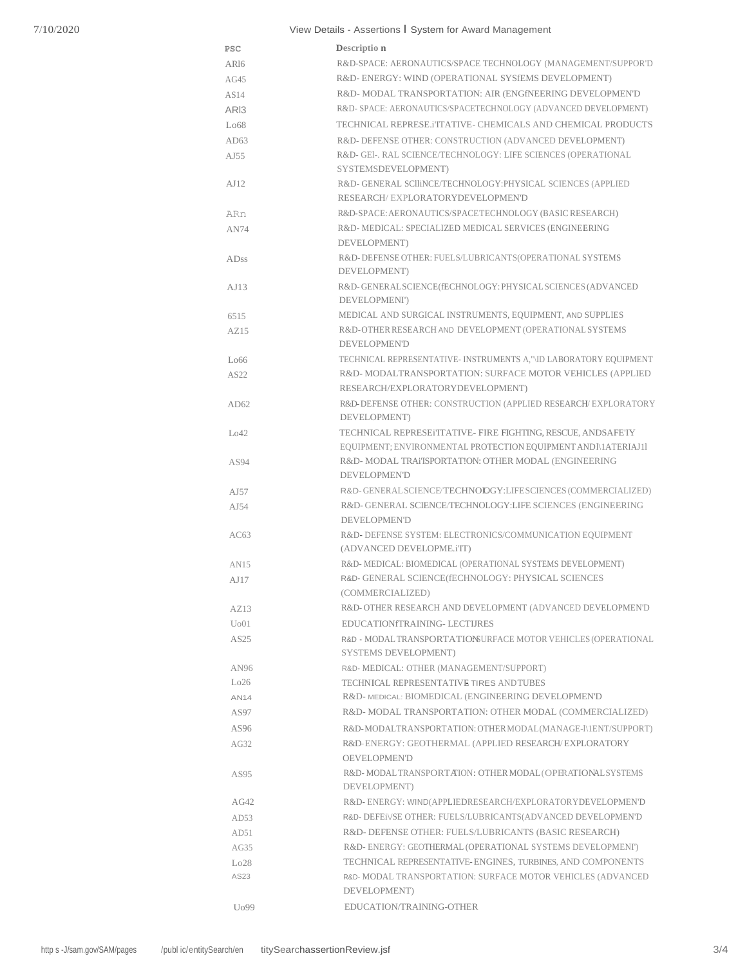# View Details - Assertions I System for Award Management

| <b>PSC</b>        | Descriptio n                                                                                   |
|-------------------|------------------------------------------------------------------------------------------------|
| AR <sub>16</sub>  | R&D-SPACE: AERONAUTICS/SPACE TECHNOLOGY (MANAGEMENT/SUPPOR'D                                   |
| AG45              | R&D-ENERGY: WIND (OPERATIONAL SYSFEMS DEVELOPMENT)                                             |
| AS14              | R&D-MODAL TRANSPORTATION: AIR (ENGINEERING DEVELOPMEN'D)                                       |
| ARI3              | R&D-SPACE: AERONAUTICS/SPACETECHNOLOGY (ADVANCED DEVELOPMENT)                                  |
| Lo68              | TECHNICAL REPRESE.iTTATIVE- CHEMICALS AND CHEMICAL PRODUCTS                                    |
| AD63              | R&D-DEFENSE OTHER: CONSTRUCTION (ADVANCED DEVELOPMENT)                                         |
| $A$ J $55$        | R&D- GEI-. RAL SCIENCE/TECHNOLOGY: LIFE SCIENCES (OPERATIONAL                                  |
|                   | SYSTEMSDEVELOPMENT)                                                                            |
| AJ12              | R&D- GENERAL SCIIINCE/TECHNOLOGY: PHYSICAL SCIENCES (APPLIED                                   |
|                   | RESEARCH/EXPLORATORYDEVELOPMEN'D                                                               |
| ARn               | R&D-SPACE: AERONAUTICS/SPACETECHNOLOGY (BASIC RESEARCH)                                        |
| <b>AN74</b>       | R&D- MEDICAL: SPECIALIZED MEDICAL SERVICES (ENGINEERING                                        |
|                   | DEVELOPMENT)                                                                                   |
| ADss              | R&D-DEFENSE OTHER: FUELS/LUBRICANTS(OPERATIONAL SYSTEMS                                        |
|                   | DEVELOPMENT)                                                                                   |
| AJ13              | R&D-GENERAL SCIENCE(fECHNOLOGY: PHYSICAL SCIENCES (ADVANCED                                    |
|                   | DEVELOPMENI')                                                                                  |
| 6515              | MEDICAL AND SURGICAL INSTRUMENTS, EQUIPMENT, AND SUPPLIES                                      |
| AZ15              | R&D-OTHER RESEARCH AND DEVELOPMENT (OPERATIONAL SYSTEMS                                        |
|                   | <b>DEVELOPMEN'D</b>                                                                            |
| Lo66              | TECHNICAL REPRESENTATIVE- INSTRUMENTS A,"\ID LABORATORY EQUIPMENT                              |
| AS22              | R&D-MODALTRANSPORTATION: SURFACE MOTOR VEHICLES (APPLIED                                       |
|                   | RESEARCH/EXPLORATORYDEVELOPMENT)                                                               |
| AD62              | R&D-DEFENSE OTHER: CONSTRUCTION (APPLIED RESEARCH/EXPLORATORY                                  |
|                   | DEVELOPMENT)                                                                                   |
| Lo42              | TECHNICAL REPRESEITTATIVE- FIRE FIGHTING, RESCUE, ANDSAFETY                                    |
|                   | EQUIPMENT; ENVIRONMENTAL PROTECTION EQUIPMENT ANDI\1ATERIAJ11                                  |
| AS94              | R&D- MODAL TRAITSPORTAT!ON: OTHER MODAL (ENGINEERING                                           |
|                   | <b>DEVELOPMEN'D</b>                                                                            |
| A <sub>J57</sub>  | R&D-GENERAL SCIENCE/TECHNOLOGY:LIFE SCIENCES (COMMERCIALIZED)                                  |
| AJ54              | R&D- GENERAL SCIENCE/TECHNOLOGY: LIFE SCIENCES (ENGINEERING                                    |
|                   | <b>DEVELOPMEN'D</b>                                                                            |
| AC63              | R&D-DEFENSE SYSTEM: ELECTRONICS/COMMUNICATION EQUIPMENT                                        |
|                   | (ADVANCED DEVELOPME.i'IT)                                                                      |
| AN15              | R&D- MEDICAL: BIOMEDICAL (OPERATIONAL SYSTEMS DEVELOPMENT)                                     |
| AJ17              | R&D- GENERAL SCIENCE(fECHNOLOGY: PHYSICAL SCIENCES                                             |
|                   | (COMMERCIALIZED)                                                                               |
| AZ13              | R&D- OTHER RESEARCH AND DEVELOPMENT (ADVANCED DEVELOPMEN'D                                     |
| U <sub>0</sub> 01 | EDUCATION TRAINING- LECTURES                                                                   |
| AS25              | R&D - MODAL TRANSPORTATIONSURFACE MOTOR VEHICLES (OPERATIONAL                                  |
|                   | SYSTEMS DEVELOPMENT)                                                                           |
| AN96              | R&D- MEDICAL: OTHER (MANAGEMENT/SUPPORT)                                                       |
| Lo26              | TECHNICAL REPRESENTATIVE TIRES AND TUBES<br>R&D- MEDICAL: BIOMEDICAL (ENGINEERING DEVELOPMEN'D |
| <b>AN14</b>       |                                                                                                |
| AS97              | R&D-MODAL TRANSPORTATION: OTHER MODAL (COMMERCIALIZED)                                         |
| AS96              | R&D-MODALTRANSPORTATION: OTHER MODAL (MANAGE-I\1ENT/SUPPORT)                                   |
| AG32              | R&D-ENERGY: GEOTHERMAL (APPLIED RESEARCH/EXPLORATORY                                           |
|                   | <b>OEVELOPMEN'D</b>                                                                            |
| AS95              | R&D-MODALTRANSPORTAION: OTHER MODAL (OPERATIONAL SYSTEMS                                       |
|                   | DEVELOPMENT)                                                                                   |
| AG42              | R&D-ENERGY: WIND(APPLIEDRESEARCH/EXPLORATORYDEVELOPMEN'D                                       |
| AD53              | R&D- DEFEI/SE OTHER: FUELS/LUBRICANTS(ADVANCED DEVELOPMEN'D                                    |
| AD51              | R&D-DEFENSE OTHER: FUELS/LUBRICANTS (BASIC RESEARCH)                                           |
| AG35              | R&D-ENERGY: GEOTHERMAL (OPERATIONAL SYSTEMS DEVELOPMENI')                                      |
| Lo28              | TECHNICAL REPRESENTATIVE-ENGINES, TURBINES, AND COMPONENTS                                     |
| AS23              | R&D- MODAL TRANSPORTATION: SURFACE MOTOR VEHICLES (ADVANCED                                    |
|                   | DEVELOPMENT)                                                                                   |
| U <sub>0</sub> 99 | EDUCATION/TRAINING-OTHER                                                                       |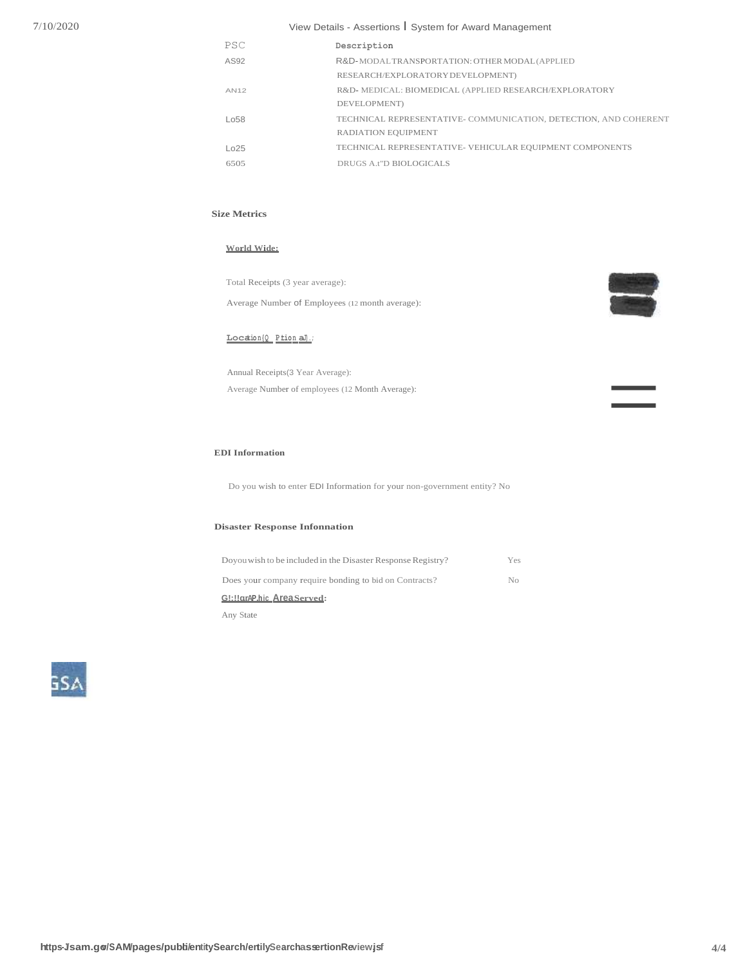# View Details - Assertions I System for Award Management

| PSC  | Description                                                      |
|------|------------------------------------------------------------------|
| AS92 | R&D-MODALTRANSPORTATION: OTHER MODAL (APPLIED                    |
|      | RESEARCH/EXPLORATORY DEVELOPMENT)                                |
| AN12 | R&D-MEDICAL: BIOMEDICAL (APPLIED RESEARCH/EXPLORATORY            |
|      | DEVELOPMENT)                                                     |
| 1058 | TECHNICAL REPRESENTATIVE- COMMUNICATION, DETECTION, AND COHERENT |
|      | <b>RADIATION EOUIPMENT</b>                                       |
| 1025 | TECHNICAL REPRESENTATIVE- VEHICULAR EQUIPMENT COMPONENTS         |
| 6505 | DRUGS A t''D BIOLOGICALS                                         |

# **Size Metrics**

#### **World Wide:**

Total Receipts (3 year average): Average Number of Employees (12 month average):



=

**Locatio n{Q P.tion aJ).;**

Annual Receipts(3 Year Average): Average Number of employees (12 Month Average):

#### **EDI Information**

Do you wish to enter EDI Information for your non-government entity? No

#### **Disaster Response Infonnation**

| Doyou wish to be included in the Disaster Response Registry? | Yes            |
|--------------------------------------------------------------|----------------|
| Does your company require bonding to bid on Contracts?       | N <sub>0</sub> |
| G!: !! arAP.hic_Area Served:                                 |                |
| Any State                                                    |                |

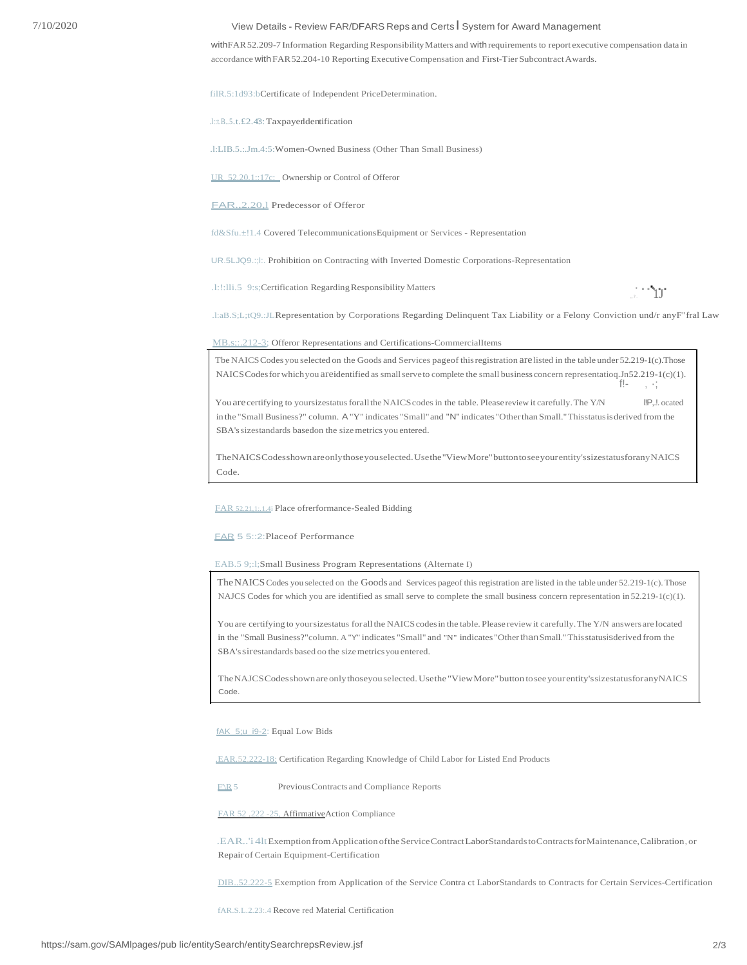## View Details - Review FAR/DFARS Reps and Certs | System for Award Management

withFAR 52.209-7 Information Regarding Responsibility Matters and with requirements to report executive compensation data in accordance with FAR 52.204-10 Reporting Executive Compensation and First-Tier Subcontract Awards.

filR.5:1d93:bCertificate of Independent PriceDetermination.

.l::t.B..5.t.£2.43: TaxpayerIdentification

.1:LIB.5.:.Jm.4:5:Women-Owned Business (Other Than Small Business)

UR 52.20,1::17c; Ownership or Control of Offeror

FAR., 2.20.1 Predecessor of Offeror

fd&Sfu.±!1.4 Covered TelecommunicationsEquipment or Services - Representation

UR.5LJQ9.:; L: Prohibition on Contracting with Inverted Domestic Corporations-Representation

.1:1:11i.5 9:s;Certification Regarding Responsibility Matters

 $\mathcal{L}^{\text{max}}(\mathcal{Y})$ 

.l:aB.S;L;tQ9.:JLRepresentation by Corporations Regarding Delinquent Tax Liability or a Felony Conviction und/r anyF"fral Law

MB.s::.212-3; Offeror Representations and Certifications-CommercialItems

The NAICS Codes you selected on the Goods and Services pageof this registration are listed in the table under 52.219-1(c). Those NAICS Codes for which you are identified as small serve to complete the small business concern representatioq.Jn52.219-1(c)(1). i, st

I!P, .!. ocated You are certifying to yoursizestatus forall the NAICS codes in the table. Please review it carefully. The Y/N in the "Small Business?" column. A "Y" indicates "Small" and "N" indicates "Other than Small." This status is derived from the SBA's sizestandards basedon the size metrics you entered.

The NAICS Codes shown are only those you selected. Use the "View More" button to see your entity's sizes tatus for any NAICS Code.

**EAR** 52.21.1: 1.4i Place of rerformance-Sealed Bidding

#### **FAR 5 5::2:Placeof Performance**

EAB.5 9;:1;Small Business Program Representations (Alternate I)

The NAICS Codes you selected on the Goods and Services pageof this registration are listed in the table under 52.219-1(c). Those NAJCS Codes for which you are identified as small serve to complete the small business concern representation in 52.219-1(c)(1).

You are certifying to your sizes tatus for all the NAICS codes in the table. Please review it carefully. The Y/N answers are located in the "Small Business?" column. A "Y" indicates "Small" and "N" indicates "Other than Small." This statusis derived from the SBA's sirestandards based oo the size metrics you entered.

The NAJCS Codes shown are only thoseyou selected. Use the "View More" button to see your entity's sizes tatus for any NAICS Code.

fAK 5:u i9-2: Equal Low Bids

.EAR.52.222-18: Certification Regarding Knowledge of Child Labor for Listed End Products

 $E/R$ 5 Previous Contracts and Compliance Reports

FAR 52 .222 -25, AffirmativeAction Compliance

.EAR..'i 4lt Exemption from Application of the Service Contract LaborStandards to Contracts for Maintenance, Calibration, or Repair of Certain Equipment-Certification

DIB., 52.222-5 Exemption from Application of the Service Contra et LaborStandards to Contracts for Certain Services-Certification

fAR.S.L.2.23:.4 Recove red Material Certification